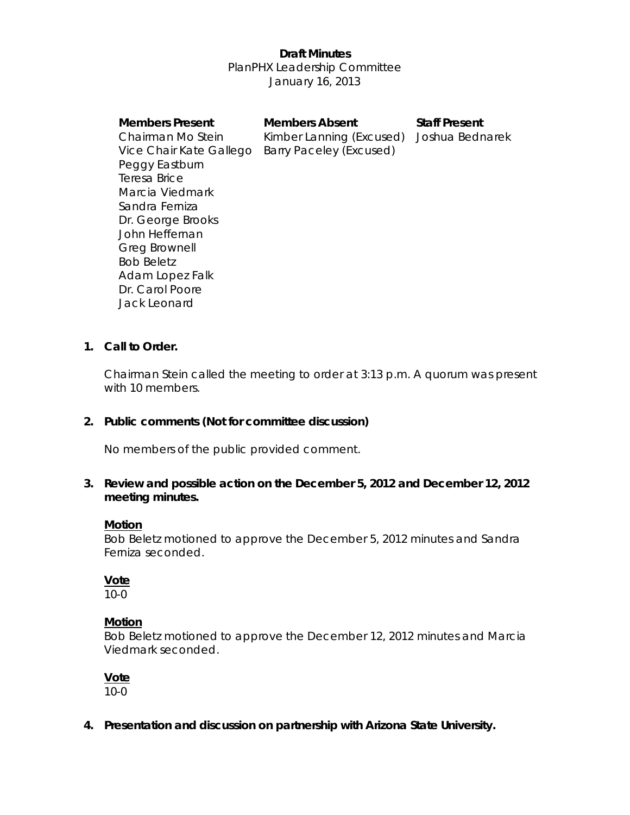# **Draft Minutes**  PlanPHX Leadership Committee January 16, 2013

#### **Members Present Members Absent Staff Present**

Chairman Mo Stein Kimber Lanning (Excused) Joshua Bednarek Vice Chair Kate Gallego Barry Paceley (Excused)

Peggy Eastburn Teresa Brice Marcia Viedmark Sandra Ferniza Dr. George Brooks John Heffernan Greg Brownell Bob Beletz Adam Lopez Falk Dr. Carol Poore Jack Leonard

#### **1. Call to Order.**

Chairman Stein called the meeting to order at 3:13 p.m. A quorum was present with 10 members.

# **2. Public comments (Not for committee discussion)**

No members of the public provided comment.

## **3. Review and possible action on the December 5, 2012 and December 12, 2012 meeting minutes.**

#### **Motion**

Bob Beletz motioned to approve the December 5, 2012 minutes and Sandra Ferniza seconded.

# **Vote**

10-0

#### **Motion**

Bob Beletz motioned to approve the December 12, 2012 minutes and Marcia Viedmark seconded.

**Vote** 

10-0

 **4. Presentation and discussion on partnership with Arizona State University.**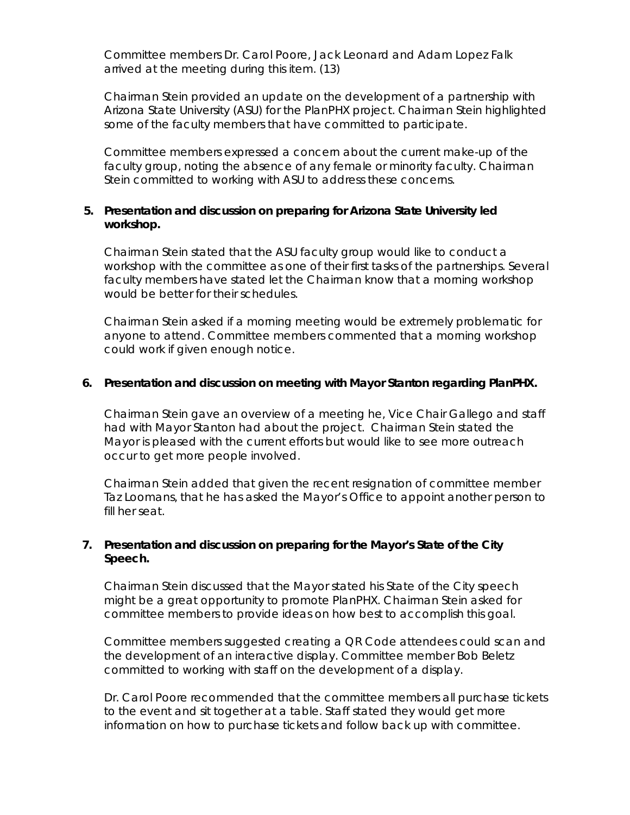*Committee members Dr. Carol Poore, Jack Leonard and Adam Lopez Falk arrived at the meeting during this item*. (13)

Chairman Stein provided an update on the development of a partnership with Arizona State University (ASU) for the PlanPHX project. Chairman Stein highlighted some of the faculty members that have committed to participate.

Committee members expressed a concern about the current make-up of the faculty group, noting the absence of any female or minority faculty. Chairman Stein committed to working with ASU to address these concerns.

#### **5. Presentation and discussion on preparing for Arizona State University led workshop.**

Chairman Stein stated that the ASU faculty group would like to conduct a workshop with the committee as one of their first tasks of the partnerships. Several faculty members have stated let the Chairman know that a morning workshop would be better for their schedules.

Chairman Stein asked if a morning meeting would be extremely problematic for anyone to attend. Committee members commented that a morning workshop could work if given enough notice.

#### **6. Presentation and discussion on meeting with Mayor Stanton regarding PlanPHX.**

Chairman Stein gave an overview of a meeting he, Vice Chair Gallego and staff had with Mayor Stanton had about the project. Chairman Stein stated the Mayor is pleased with the current efforts but would like to see more outreach occur to get more people involved.

Chairman Stein added that given the recent resignation of committee member Taz Loomans, that he has asked the Mayor's Office to appoint another person to fill her seat.

#### **7. Presentation and discussion on preparing for the Mayor's State of the City Speech.**

Chairman Stein discussed that the Mayor stated his State of the City speech might be a great opportunity to promote PlanPHX. Chairman Stein asked for committee members to provide ideas on how best to accomplish this goal.

Committee members suggested creating a QR Code attendees could scan and the development of an interactive display. Committee member Bob Beletz committed to working with staff on the development of a display.

Dr. Carol Poore recommended that the committee members all purchase tickets to the event and sit together at a table. Staff stated they would get more information on how to purchase tickets and follow back up with committee.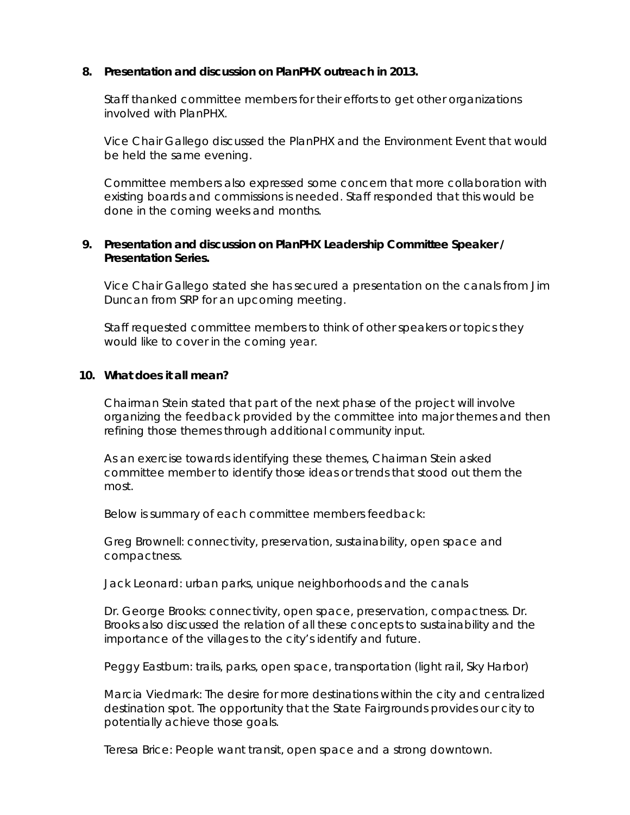#### **8. Presentation and discussion on PlanPHX outreach in 2013.**

Staff thanked committee members for their efforts to get other organizations involved with PlanPHX.

Vice Chair Gallego discussed the PlanPHX and the Environment Event that would be held the same evening.

Committee members also expressed some concern that more collaboration with existing boards and commissions is needed. Staff responded that this would be done in the coming weeks and months.

### **9. Presentation and discussion on PlanPHX Leadership Committee Speaker / Presentation Series.**

Vice Chair Gallego stated she has secured a presentation on the canals from Jim Duncan from SRP for an upcoming meeting.

Staff requested committee members to think of other speakers or topics they would like to cover in the coming year.

#### **10. What does it all mean?**

Chairman Stein stated that part of the next phase of the project will involve organizing the feedback provided by the committee into major themes and then refining those themes through additional community input.

As an exercise towards identifying these themes, Chairman Stein asked committee member to identify those ideas or trends that stood out them the most.

Below is summary of each committee members feedback:

Greg Brownell: connectivity, preservation, sustainability, open space and compactness.

Jack Leonard: urban parks, unique neighborhoods and the canals

Dr. George Brooks: connectivity, open space, preservation, compactness. Dr. Brooks also discussed the relation of all these concepts to sustainability and the importance of the villages to the city's identify and future.

Peggy Eastburn: trails, parks, open space, transportation (light rail, Sky Harbor)

Marcia Viedmark: The desire for more destinations within the city and centralized destination spot. The opportunity that the State Fairgrounds provides our city to potentially achieve those goals.

Teresa Brice: People want transit, open space and a strong downtown.